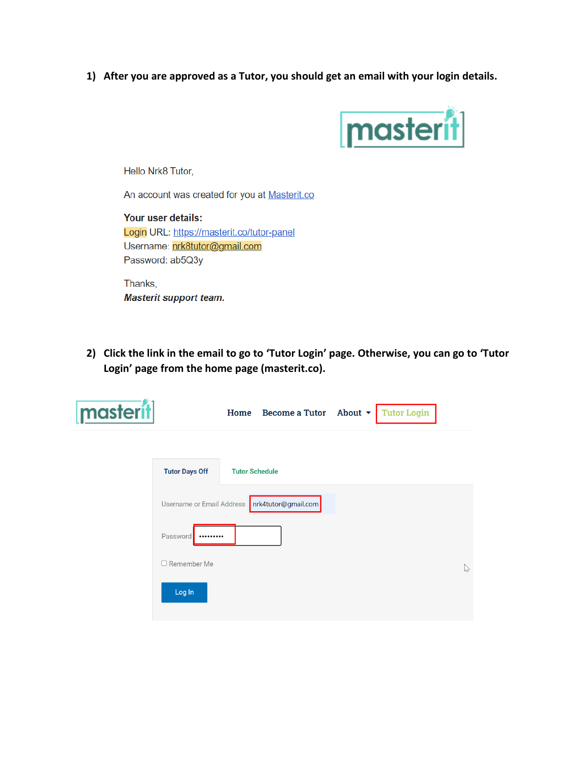**1) After you are approved as a Tutor, you should get an email with your login details.**



Hello Nrk8 Tutor,

An account was created for you at Masterit.co

Your user details: Login URL: https://masterit.co/tutor-panel Username: nrk8tutor@gmail.com Password: ab5Q3y

Thanks, **Masterit support team.** 

**2) Click the link in the email to go to 'Tutor Login' page. Otherwise, you can go to 'Tutor Login' page from the home page (masterit.co).**

| masterit |                       |                       | Home Become a Tutor About $\rightarrow$         | <b>Tutor Login</b> |              |
|----------|-----------------------|-----------------------|-------------------------------------------------|--------------------|--------------|
|          | <b>Tutor Days Off</b> | <b>Tutor Schedule</b> |                                                 |                    |              |
|          |                       |                       | Username or Email Address   nrk4tutor@gmail.com |                    |              |
|          | Password<br>          |                       |                                                 |                    |              |
|          | $\Box$ Remember Me    |                       |                                                 |                    | $\heartsuit$ |
|          | Log In                |                       |                                                 |                    |              |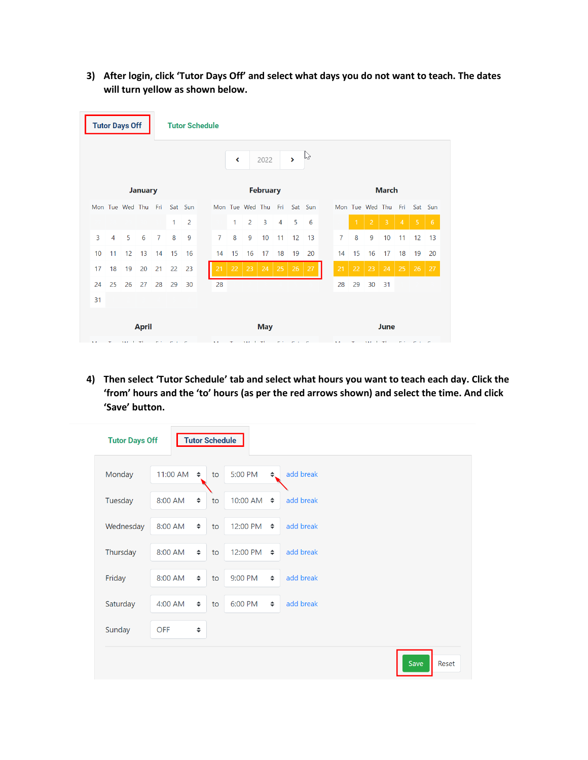**3) After login, click 'Tutor Days Off' and select what days you do not want to teach. The dates will turn yellow as shown below.**

|                 |                | <b>Tutor Days Off</b> |    |                |    | <b>Tutor Schedule</b> |            |                 |    |                     |      |    |                   |         |              |    |              |                 |    |                |    |         |
|-----------------|----------------|-----------------------|----|----------------|----|-----------------------|------------|-----------------|----|---------------------|------|----|-------------------|---------|--------------|----|--------------|-----------------|----|----------------|----|---------|
|                 |                |                       |    |                |    |                       |            |                 | ∢  |                     | 2022 |    | $\mathbf{\Sigma}$ | rz      |              |    |              |                 |    |                |    |         |
| <b>January</b>  |                |                       |    |                |    |                       |            | <b>February</b> |    |                     |      |    |                   |         | <b>March</b> |    |              |                 |    |                |    |         |
|                 |                | Mon Tue Wed Thu Fri   |    |                |    | Sat Sun               |            |                 |    | Mon Tue Wed Thu Fri |      |    |                   | Sat Sun |              |    |              | Mon Tue Wed Thu |    | Fri            |    | Sat Sun |
|                 |                |                       |    |                | 1  | $\overline{2}$        |            |                 | 1  | 2                   | 3    | 4  | 5                 | 6       |              |    | $\mathbf{1}$ | $\overline{2}$  | 3  | $\overline{4}$ | 5  | 6       |
| $\overline{3}$  | $\overline{4}$ | 5                     | 6  | $\overline{7}$ | 8  | 9                     |            | $\overline{7}$  | 8  | 9                   | 10   | 11 | 12                | 13      |              | 7  | 8            | 9               | 10 | 11             | 12 | 13      |
| 10 <sup>1</sup> | 11             | 12                    | 13 | 14             | 15 | 16                    |            | 14              | 15 | 16                  | 17   | 18 | 19                | 20      |              | 14 | 15           | 16              | 17 | 18             | 19 | 20      |
| 17              | 18             | 19                    | 20 | 21             | 22 | 23                    |            | 21              | 22 | 23                  | 24   | 25 | 26                | 27      |              | 21 | 22           | 23              | 24 | 25             | 26 | 27      |
| 24              | 25             | 26                    | 27 | 28             | 29 | 30                    |            | 28              |    |                     |      |    |                   |         |              | 28 | 29           | 30              | 31 |                |    |         |
| 31              |                |                       |    |                |    |                       |            |                 |    |                     |      |    |                   |         |              |    |              |                 |    |                |    |         |
| <b>April</b>    |                |                       |    |                |    | A A                   | <b>May</b> |                 |    |                     |      |    |                   | June    |              |    |              |                 |    |                |    |         |

**4) Then select 'Tutor Schedule' tab and select what hours you want to teach each day. Click the 'from' hours and the 'to' hours (as per the red arrows shown) and select the time. And click 'Save' button.**

| <b>Tutor Days Off</b> |            |        | <b>Tutor Schedule</b> |                       |              |           |      |
|-----------------------|------------|--------|-----------------------|-----------------------|--------------|-----------|------|
| Monday                | 11:00 AM   | $\div$ | to                    | 5:00 PM               | $\triangleq$ | add break |      |
| Tuesday               | 8:00 AM    | $\div$ | to                    | 10:00 AM $\div$       |              | add break |      |
| Wednesday             | 8:00 AM    | $\div$ | to                    | 12:00 PM $\triangleq$ |              | add break |      |
| Thursday              | 8:00 AM    | $\div$ | to                    | 12:00 PM $\triangleq$ |              | add break |      |
| Friday                | 8:00 AM    | $\div$ | to                    | 9:00 PM               | $\div$       | add break |      |
| Saturday              | 4:00 AM    | $\div$ | to                    | 6:00 PM               | $\div$       | add break |      |
| Sunday                | <b>OFF</b> | $\div$ |                       |                       |              |           |      |
|                       |            |        |                       |                       |              |           | Save |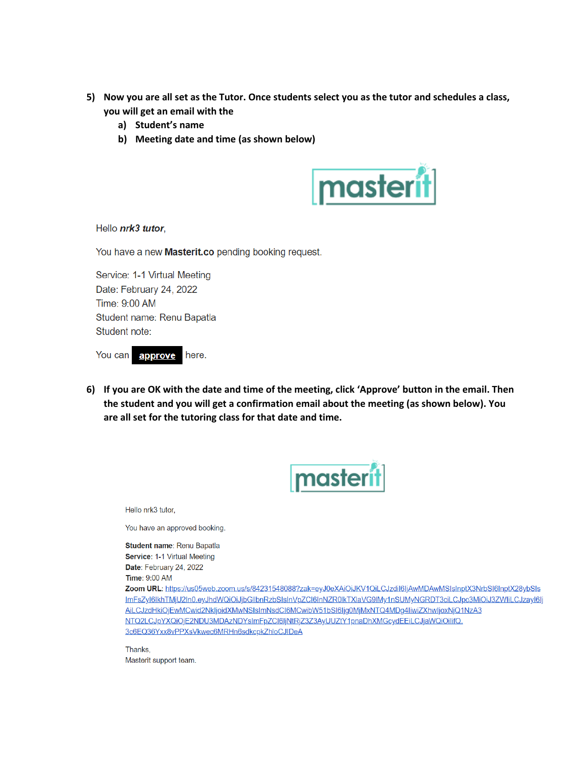- **5) Now you are all set as the Tutor. Once students select you as the tutor and schedules a class, you will get an email with the** 
	- **a) Student's name**
	- **b) Meeting date and time (as shown below)**



Hello nrk3 tutor.

You have a new Masterit.co pending booking request.

Service: 1-1 Virtual Meeting Date: February 24, 2022 Time: 9:00 AM Student name: Renu Bapatla Student note:

You can approve here.

**6) If you are OK with the date and time of the meeting, click 'Approve' button in the email. Then the student and you will get a confirmation email about the meeting (as shown below). You are all set for the tutoring class for that date and time.**



Hello nrk3 tutor.

You have an approved booking.

Student name: Renu Bapatla Service: 1-1 Virtual Meeting Date: February 24, 2022 **Time: 9:00 AM** 

Zoom URL: https://us05web.zoom.us/s/84231548088?zak=eyJ0eXAiOiJKV1QiLCJzdil6ljAwMDAwMSIsInptX3NrbSl6lnptX28ybSls ImFsZyl6lkhTMjU2In0.eyJhdWQiOiJjbGllbnRzbSIsInVpZCl6InNZR0lkTXlaVG9lMy1nSUMyNGRDT3ciLCJpc3MiOiJ3ZWliLCJzayl6lj AiLCJzdHkiOjEwMCwid2NkIjoidXMwNSIsImNsdCl6MCwibW51bSl6Ijg0MjMxNTQ4MDg4IiwiZXhwIjoxNjQ1NzA3 NTQ2LCJpYXQiOjE2NDU3MDAzNDYsImFpZCI6IjNtRjZ3Z3AyUUZtY1pnaDhXMGcydEEiLCJjaWQiOilifQ. 3c6EQ36Yxx8vPPXsVkwec6MRHn6sdkcpkZhloCJIDeA

Thanks, Masterit support team.